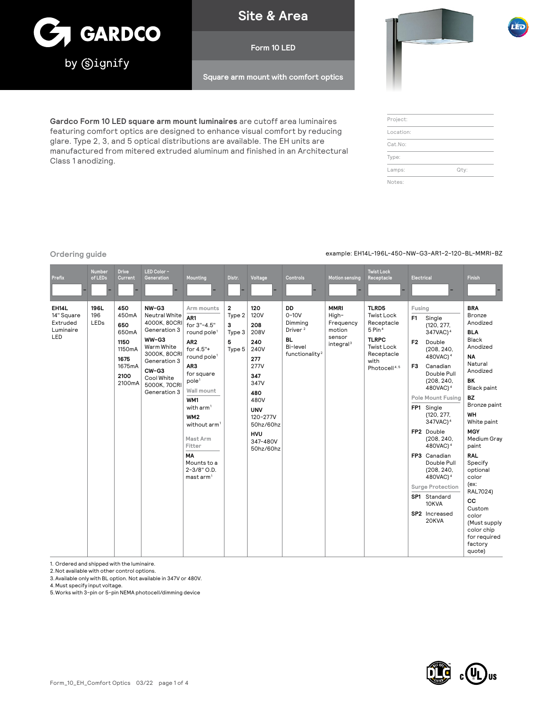

**Site & Area**

# **Form 10 LED**

**Square arm mount with comfort optics**

**Gardco Form 10 LED square arm mount luminaires** are cutoff area luminaires featuring comfort optics are designed to enhance visual comfort by reducing glare. Type 2, 3, and 5 optical distributions are available. The EH units are manufactured from mitered extruded aluminum and finished in an Architectural Class 1 anodizing.

# Project: Location: Cat.No: Type:

Lamps: Qty:

Notes:

# **Ordering guide** example: EH14L-196L-450-NW-G3-AR1-2-120-BL-MMRI-BZ

| Prefix                                                     | <b>Number</b><br>of LEDs | <b>Drive</b><br>Current                                                            | LED Color -<br>Generation                                                                                                                                              | Mounting                                                                                                                                                                                                                                                                                                                                      | Distr.                                    | Voltage                                                                                                                                                                     | Controls                                                                                                      | <b>Motion sensing</b>                                                          | <b>Twist Lock</b><br>Receptacle                                                                                                                | Electrical                                                                                                                                                                                                                                                                                                                                                                                                                                                                                                           | <b>Finish</b>                                                                                                                                                                                                                                                                                                                                                                                    |
|------------------------------------------------------------|--------------------------|------------------------------------------------------------------------------------|------------------------------------------------------------------------------------------------------------------------------------------------------------------------|-----------------------------------------------------------------------------------------------------------------------------------------------------------------------------------------------------------------------------------------------------------------------------------------------------------------------------------------------|-------------------------------------------|-----------------------------------------------------------------------------------------------------------------------------------------------------------------------------|---------------------------------------------------------------------------------------------------------------|--------------------------------------------------------------------------------|------------------------------------------------------------------------------------------------------------------------------------------------|----------------------------------------------------------------------------------------------------------------------------------------------------------------------------------------------------------------------------------------------------------------------------------------------------------------------------------------------------------------------------------------------------------------------------------------------------------------------------------------------------------------------|--------------------------------------------------------------------------------------------------------------------------------------------------------------------------------------------------------------------------------------------------------------------------------------------------------------------------------------------------------------------------------------------------|
| <b>EH14L</b><br>14" Square<br>Extruded<br>Luminaire<br>LED | 196L<br>196<br>LEDs      | 450<br>450mA<br>650<br>650mA<br>1150<br>1150mA<br>1675<br>1675mA<br>2100<br>2100mA | NW-G3<br>Neutral White<br>4000K, 80CRI<br>Generation 3<br>WW-G3<br>Warm White<br>3000K, 80CRI<br>Generation 3<br>$CW-G3$<br>Cool White<br>5000K, 70CRI<br>Generation 3 | Arm mounts<br>AR1<br>for 3"-4.5"<br>round pole <sup>1</sup><br>AR <sub>2</sub><br>for 4.5"+<br>round pole <sup>1</sup><br>AR3<br>for square<br>pole <sup>1</sup><br>Wall mount<br>WM1<br>with $arm1$<br>WM <sub>2</sub><br>without arm <sup>1</sup><br>Mast Arm<br>Fitter<br><b>MA</b><br>Mounts to a<br>2-3/8" O.D.<br>mast arm <sup>1</sup> | 2<br>Type 2<br>3<br>Type 3<br>5<br>Type 5 | 120<br><b>120V</b><br>208<br>208V<br>240<br>240V<br>277<br>277V<br>347<br>347V<br>480<br>480V<br><b>UNV</b><br>120-277V<br>50hz/60hz<br><b>HVU</b><br>347-480V<br>50hz/60hz | <b>DD</b><br>$0-10V$<br>Dimming<br>Driver <sup>2</sup><br><b>BL</b><br>Bi-level<br>functionality <sup>2</sup> | <b>MMRI</b><br>High-<br>Frequency<br>motion<br>sensor<br>integral <sup>3</sup> | TLRD5<br><b>Twist Lock</b><br>Receptacle<br>$5$ Pin $4$<br><b>TLRPC</b><br><b>Twist Lock</b><br>Receptacle<br>with<br>Photocell <sup>4.5</sup> | Fusing<br>Single<br>F <sub>1</sub><br>(120, 277,<br>347VAC) <sup>4</sup><br>F <sub>2</sub><br>Double<br>(208, 240,<br>480VAC) <sup>4</sup><br>F <sub>3</sub><br>Canadian<br>Double Pull<br>(208, 240,<br>480VAC) <sup>4</sup><br><b>Pole Mount Fusing</b><br>FP1 Single<br>(120, 277,<br>347VAC) <sup>4</sup><br>FP2 Double<br>(208, 240,<br>480VAC) <sup>4</sup><br>FP3 Canadian<br>Double Pull<br>(208, 240,<br>480VAC) <sup>4</sup><br><b>Surge Protection</b><br>SP1 Standard<br>10KVA<br>SP2 Increased<br>20KVA | <b>BRA</b><br>Bronze<br>Anodized<br><b>BLA</b><br><b>Black</b><br>Anodized<br><b>NA</b><br>Natural<br>Anodized<br><b>BK</b><br><b>Black paint</b><br>BZ<br>Bronze paint<br>WH<br>White paint<br><b>MGY</b><br>Medium Gray<br>paint<br><b>RAL</b><br>Specify<br>optional<br>color<br>(ex:<br>RAL7024)<br>cc<br>Custom<br>color<br>(Must supply<br>color chip<br>for required<br>factory<br>quote) |

1. Ordered and shipped with the luminaire.

2.Not available with other control options.

3.Available only with BL option. Not available in 347V or 480V.

4.Must specify input voltage.

5.Works with 3-pin or 5-pin NEMA photocell/dimming device

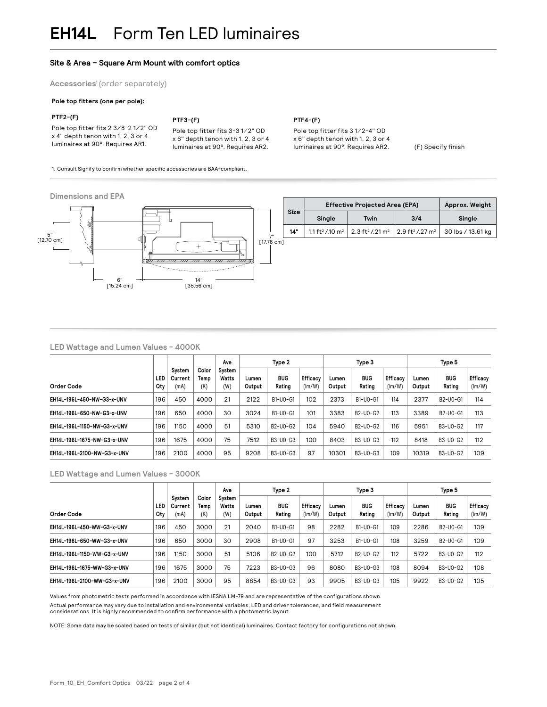# **Site & Area – Square Arm Mount with comfort optics**

1. Consult Signify to confirm whether specific accessories are BAA-compliant.

**Accessories1** (order separately)

# **Pole top fitters (one per pole):**

## **PTF2-(F)**

### **PTF3-(F)**

Pole top fitter fits 2 3⁄8-2 1⁄2" OD x 4" depth tenon with 1, 2, 3 or 4 luminaires at 90°. Requires AR1.

Pole top fitter fits 3-3 1⁄2" OD x 6" depth tenon with 1, 2, 3 or 4 luminaires at 90°. Requires AR2. **PTF4-(F)**

Pole top fitter fits 3 1⁄2-4" OD x 6" depth tenon with 1, 2, 3 or 4 luminaires at 90°. Requires AR2. (F) Specify finish



# **LED Wattage and Lumen Values - 4000K**

|                             |            |                           |                      | Ave                    |                 | Type 2                                         |                    |                 | Type 3                                         |                    |                 | Type 5                                         |                    |
|-----------------------------|------------|---------------------------|----------------------|------------------------|-----------------|------------------------------------------------|--------------------|-----------------|------------------------------------------------|--------------------|-----------------|------------------------------------------------|--------------------|
| Order Code                  | LED<br>Qty | System<br>Current<br>(mA) | Color<br>Temp<br>(K) | System<br>Watts<br>(W) | Lumen<br>Output | <b>BUG</b><br>Rating                           | Efficacy<br>(lm/W) | Lumen<br>Output | <b>BUG</b><br>Rating                           | Efficacy<br>(lm/W) | Lumen<br>Output | <b>BUG</b><br>Rating                           | Efficacy<br>(lm/W) |
| EH14L-196L-450-NW-G3-x-UNV  | 196        | 450                       | 4000                 | 21                     | 2122            | B1-U0-G1                                       | 102                | 2373            | B1-U0-G1                                       | 114                | 2377            | B <sub>2</sub> -U <sub>0</sub> -G <sub>1</sub> | 114                |
| EH14L-196L-650-NW-G3-x-UNV  | 196        | 650                       | 4000                 | 30                     | 3024            | B1-U0-G1                                       | 101                | 3383            | B <sub>2</sub> -U <sub>0</sub> -G <sub>2</sub> | 113                | 3389            | B <sub>2</sub> -U <sub>0</sub> -G <sub>1</sub> | 113                |
| EH14L-196L-1150-NW-G3-x-UNV | 196        | 1150                      | 4000                 | 51                     | 5310            | B <sub>2</sub> -U <sub>0</sub> -G <sub>2</sub> | 104                | 5940            | B <sub>2</sub> -U <sub>0</sub> -G <sub>2</sub> | 116                | 5951            | B3-U0-G2                                       | 117                |
| EH14L-196L-1675-NW-G3-x-UNV | 196        | 1675                      | 4000                 | 75                     | 7512            | B3-U0-G3                                       | 100                | 8403            | B3-U0-G3                                       | 112                | 8418            | B3-U0-G2                                       | 112                |
| EH14L-196L-2100-NW-G3-x-UNV | 196        | 2100                      | 4000                 | 95                     | 9208            | B3-U0-G3                                       | 97                 | 10301           | B3-U0-G3                                       | 109                | 10319           | B3-U0-G2                                       | 109                |

# **LED Wattage and Lumen Values - 3000K**

|                             |            |                           |                      | Ave                    | Type 2          |                                                |                    | Type 3          |                      |                    | Type 5          |                                                |                    |
|-----------------------------|------------|---------------------------|----------------------|------------------------|-----------------|------------------------------------------------|--------------------|-----------------|----------------------|--------------------|-----------------|------------------------------------------------|--------------------|
| Order Code                  | LED<br>Qtv | System<br>Current<br>(mA) | Color<br>Temp<br>(K) | System<br>Watts<br>(W) | Lumen<br>Output | <b>BUG</b><br>Rating                           | Efficacy<br>(lm/W) | Lumen<br>Output | <b>BUG</b><br>Rating | Efficacy<br>(lm/W) | Lumen<br>Output | <b>BUG</b><br>Rating                           | Efficacy<br>(lm/W) |
| EH14L-196L-450-WW-G3-x-UNV  | 196        | 450                       | 3000                 | 21                     | 2040            | B1-U0-G1                                       | 98                 | 2282            | B1-U0-G1             | 109                | 2286            | B <sub>2</sub> -U <sub>0</sub> -G <sub>1</sub> | 109                |
| EH14L-196L-650-WW-G3-x-UNV  | 196        | 650                       | 3000                 | 30                     | 2908            | B1-U0-G1                                       | 97                 | 3253            | B1-U0-G1             | 108                | 3259            | B <sub>2</sub> -U <sub>0</sub> -G <sub>1</sub> | 109                |
| EH14L-196L-1150-WW-G3-x-UNV | 196        | 1150                      | 3000                 | 51                     | 5106            | B <sub>2</sub> -U <sub>0</sub> -G <sub>2</sub> | 100                | 5712            | B2-U0-G2             | 112                | 5722            | B3-U0-G2                                       | 112                |
| EH14L-196L-1675-WW-G3-x-UNV | 196        | 1675                      | 3000                 | 75                     | 7223            | B3-U0-G3                                       | 96                 | 8080            | B3-U0-G3             | 108                | 8094            | B3-U0-G2                                       | 108                |
| EH14L-196L-2100-WW-G3-x-UNV | 196        | 2100                      | 3000                 | 95                     | 8854            | B3-U0-G3                                       | 93                 | 9905            | B3-U0-G3             | 105                | 9922            | B3-U0-G2                                       | 105                |

Values from photometric tests performed in accordance with IESNA LM-79 and are representative of the configurations shown. Actual performance may vary due to installation and environmental variables, LED and driver tolerances, and field measurement considerations. It is highly recommended to confirm performance with a photometric layout.

NOTE: Some data may be scaled based on tests of similar (but not identical) luminaires. Contact factory for configurations not shown.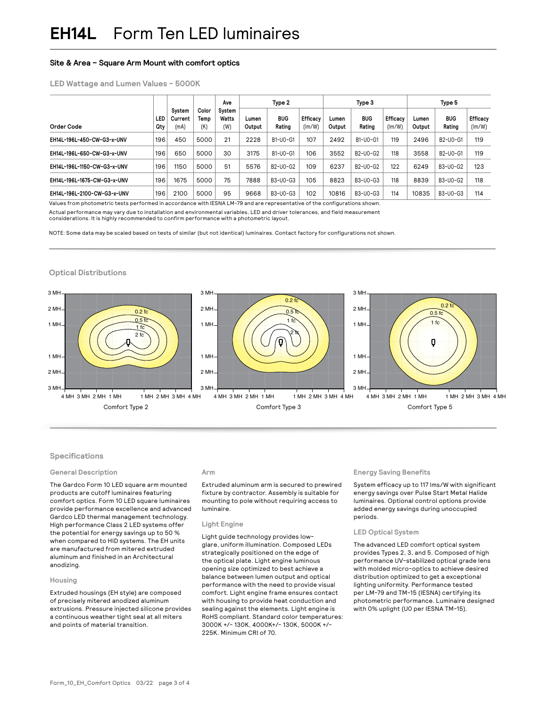# **Site & Area – Square Arm Mount with comfort optics**

# **LED Wattage and Lumen Values - 5000K**

|                             |            |                           |                      | Ave                    | Type 2          |                                                |                    | Type 3          |                                                |                           | Type 5          |                                                |                    |
|-----------------------------|------------|---------------------------|----------------------|------------------------|-----------------|------------------------------------------------|--------------------|-----------------|------------------------------------------------|---------------------------|-----------------|------------------------------------------------|--------------------|
| Order Code                  | LED<br>Qty | System<br>Current<br>(mA) | Color<br>Temp<br>(K) | System<br>Watts<br>(W) | Lumen<br>Output | <b>BUG</b><br>Rating                           | Efficacy<br>(lm/W) | Lumen<br>Output | <b>BUG</b><br>Rating                           | <b>Efficacy</b><br>(lm/W) | Lumen<br>Output | <b>BUG</b><br>Rating                           | Efficacy<br>(lm/W) |
| EH14L-196L-450-CW-G3-x-UNV  | 196        | 450                       | 5000                 | 21                     | 2228            | B1-U0-G1                                       | 107                | 2492            | B1-U0-G1                                       | 119                       | 2496            | B <sub>2</sub> -U <sub>0</sub> -G <sub>1</sub> | 119                |
| EH14L-196L-650-CW-G3-x-UNV  | 196        | 650                       | 5000                 | 30                     | 3175            | B1-U0-G1                                       | 106                | 3552            | B2-U0-G2                                       | 118                       | 3558            | B <sub>2</sub> -U <sub>0</sub> -G <sub>1</sub> | 119                |
| EH14L-196L-1150-CW-G3-x-UNV | 196        | 1150                      | 5000                 | 51                     | 5576            | B <sub>2</sub> -U <sub>0</sub> -G <sub>2</sub> | 109                | 6237            | B <sub>2</sub> -U <sub>0</sub> -G <sub>2</sub> | 122                       | 6249            | B3-U0-G2                                       | 123                |
| EH14L-196L-1675-CW-G3-x-UNV | 196        | 1675                      | 5000                 | 75                     | 7888            | B3-U0-G3                                       | 105                | 8823            | B3-U0-G3                                       | 118                       | 8839            | B3-U0-G2                                       | 118                |
| EH14L-196L-2100-CW-G3-x-UNV | 196        | 2100                      | 5000                 | 95                     | 9668            | B3-U0-G3                                       | 102                | 10816           | B3-U0-G3                                       | 114                       | 10835           | B3-U0-G3                                       | 114                |

Values from photometric tests performed in accordance with IESNA LM-79 and are representative of the configurations shown. Actual performance may vary due to installation and environmental variables, LED and driver tolerances, and field measurement considerations. It is highly recommended to confirm performance with a photometric layout.

NOTE: Some data may be scaled based on tests of similar (but not identical) luminaires. Contact factory for configurations not shown.

## **Optical Distributions**



 $\sim$ 

# Specifications

## **General Description**

High performance Class 2 LED systems offer The Gardco Form 10 LED square arm mounted comfort optics. Form 10 LED square luminaires Gardco LED thermal management technology. products are cutoff luminaires featuring provide performance excellence and advanced the potential for energy savings up to 50 % when compared to HID systems. The EH units are manufactured from mitered extruded aluminum and finished in an Architectural anodizing.

#### **Housing**

Extruded housings (EH style) are composed of precisely mitered anodized aluminum extrusions. Pressure injected silicone provides a continuous weather tight seal at all miters and points of material transition.

# **Arm**

Extruded aluminum arm is secured to prewired mounting to pole without requiring access to fixture by contractor. Assembly is suitable for luminaire.

## $\mathsf{Light} \; \mathsf{Engine}$

Tromenergy savings up to 50 % Light guide technology provides lowglare, uniform illumination. Composed LEDs strategically positioned on the edge of the optical plate. Light engine luminous opening size optimized to best achieve a balance between lumen output and optical performance with the need to provide visual comfort. Light engine frame ensures contact with housing to provide heat conduction and sealing against the elements. Light engine is RoHS compliant. Standard color temperatures: 3000K +/- 130K, 4000K+/- 130K, 5000K +/- 225K. Minimum CRI of 70.

## **Energy Saving Benefits**

System efficacy up to 117 lms/W with significant energy savings over Pulse Start Metal Halide luminaires. Optional control options provide added energy savings during unoccupied periods.

## **LED Optical System**

The advanced LED comfort optical system provides Types 2, 3, and 5. Composed of high performance UV-stabilized optical grade lens with molded micro-optics to achieve desired distribution optimized to get a exceptional lighting uniformity. Performance tested per LM-79 and TM-15 (IESNA) certifying its photometric performance. Luminaire designed with 0% uplight (U0 per IESNA TM-15).